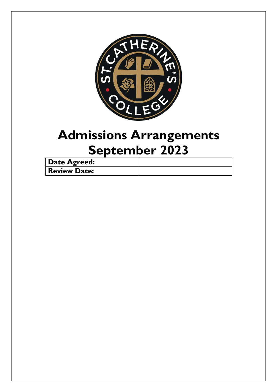

# **Admissions Arrangements September 2023**

| <b>Date Agreed:</b> |  |
|---------------------|--|
| <b>Review Date:</b> |  |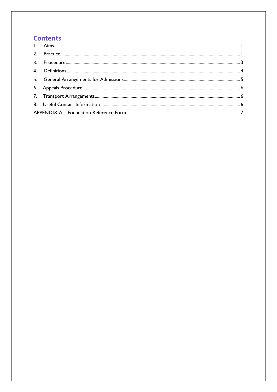# **Contents**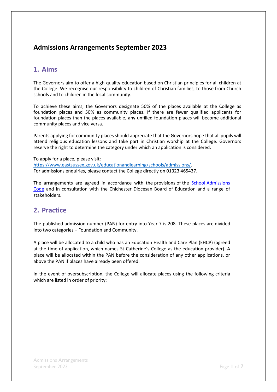# **Admissions Arrangements September 2023**

## <span id="page-2-0"></span>**1. Aims**

The Governors aim to offer a high-quality education based on Christian principles for all children at the College. We recognise our responsibility to children of Christian families, to those from Church schools and to children in the local community.

To achieve these aims, the Governors designate 50% of the places available at the College as foundation places and 50% as community places. If there are fewer qualified applicants for foundation places than the places available, any unfilled foundation places will become additional community places and vice versa.

Parents applying for community places should appreciate that the Governors hope that all pupils will attend religious education lessons and take part in Christian worship at the College. Governors reserve the right to determine the category under which an application is considered.

To apply for a place, please visit: [https://www.eastsussex.gov.uk/educationandlearning/schools/admissions/.](https://www.eastsussex.gov.uk/educationandlearning/schools/admissions/)  For admissions enquiries, please contact the College directly on 01323 465437.

The arrangements are agreed in accordance with the provisions of the School Admissions [Code](https://www.gov.uk/government/publications/school-admissions-code--2) and in consultation with the Chichester Diocesan Board of Education and a range of stakeholders.

# <span id="page-2-1"></span>**2. Practice**

The published admission number (PAN) for entry into Year 7 is 208. These places are divided into two categories – Foundation and Community.

A place will be allocated to a child who has an Education Health and Care Plan (EHCP) (agreed at the time of application, which names St Catherine's College as the education provider). A place will be allocated within the PAN before the consideration of any other applications, or above the PAN if places have already been offered.

In the event of oversubscription, the College will allocate places using the following criteria which are listed in order of priority: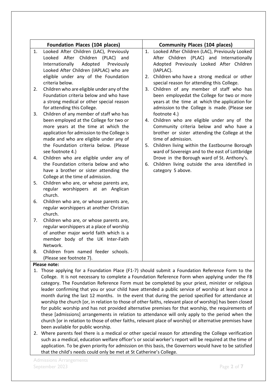|    | <b>Foundation Places (104 places)</b>       |    | <b>Community Places (104 places)</b>            |
|----|---------------------------------------------|----|-------------------------------------------------|
| 1. | Looked After Children (LAC), Previously     | 1. | Looked After Children (LAC), Previously Looked  |
|    | Looked After<br>Children (PLAC) and         |    | After Children (PLAC) and Internationally       |
|    | Internationally<br>Adopted<br>Previously    |    | Adopted Previously Looked After Children        |
|    | Looked After Children (IAPLAC) who are      |    | (IAPLAC).                                       |
|    | eligible under any of the Foundation        |    | 2. Children who have a strong medical or other  |
|    | criteria below.                             |    | special reason for attending this College.      |
| 2. | Children who are eligible under any of the  |    | 3. Children of any member of staff who has      |
|    | Foundation criteria below and who have      |    | been employedat the College for two or more     |
|    | a strong medical or other special reason    |    | years at the time at which the application for  |
|    | for attending this College.                 |    | admission to the College is made. (Please see   |
| 3. | Children of any member of staff who has     |    | footnote 4.)                                    |
|    | been employed at the College for two or     | 4. | Children who are eligible under any of the      |
|    | more years at the time at which the         |    | Community criteria below and who have a         |
|    | application for admission to the College is |    | brother or sister attending the College at the  |
|    | made and who are eligible under any of      |    | time of admission.                              |
|    | the Foundation criteria below. (Please      | 5. | Children living within the Eastbourne Borough   |
|    | see footnote 4.)                            |    | ward of Sovereign and to the east of Lottbridge |
| 4. | Children who are eligible under any of      |    | Drove in the Borough ward of St. Anthony's.     |
|    | the Foundation criteria below and who       | 6. | Children living outside the area identified in  |
|    | have a brother or sister attending the      |    | category 5 above.                               |
|    | College at the time of admission.           |    |                                                 |
| 5. | Children who are, or whose parents are,     |    |                                                 |
|    | regular worshippers at an Anglican          |    |                                                 |
|    | church.                                     |    |                                                 |
| 6. | Children who are, or whose parents are,     |    |                                                 |
|    | regular worshippers at another Christian    |    |                                                 |
|    | church.                                     |    |                                                 |
| 7. | Children who are, or whose parents are,     |    |                                                 |
|    | regular worshippers at a place of worship   |    |                                                 |
|    | of another major world faith which is a     |    |                                                 |
|    | member body of the UK Inter-Faith           |    |                                                 |
|    | Network.                                    |    |                                                 |
| 8. | Children from named feeder schools.         |    |                                                 |
|    | (Please see footnote 7).<br>Dloase note:    |    |                                                 |

#### **Please note:**

- 1. Those applying for a Foundation Place (F1-7) should submit a Foundation Reference Form to the College. It is not necessary to complete a Foundation Reference Form when applying under the F8 category. The Foundation Reference Form must be completed by your priest, minister or religious leader confirming that you or your child have attended a public service of worship at least once a month during the last 12 months. In the event that during the period specified for attendance at worship the church [or, in relation to those of other faiths, relevant place of worship] has been closed for public worship and has not provided alternative premises for that worship, the requirements of these [admissions] arrangements in relation to attendance will only apply to the period when the church [or in relation to those of other faiths, relevant place of worship] or alternative premises have been available for public worship.
- 2. Where parents feel there is a medical or other special reason for attending the College verification such as a medical, education welfare officer's or social worker's report will be required at the time of application. To be given priority for admission on this basis, the Governors would have to be satisfied that the child's needs could only be met at St Catherine's College.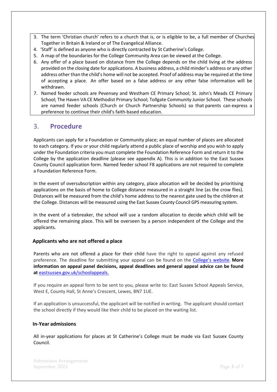- 3. The term 'Christian church' refers to a church that is, or is eligible to be, a full member of Churches Together in Britain & Ireland or of The Evangelical Alliance.
- 4. 'Staff' is defined as anyone who is directly contracted by St Catherine's College.
- 5. A map of the boundaries for the College Community Area can be viewed at the College.
- 6. Any offer of a place based on distance from the College depends on the child living at the address provided on the closing date for applications. A business address, a child minder's address or any other address other than the child's home will not be accepted. Proof of address may be required at the time of accepting a place. An offer based on a false address or any other false information will be withdrawn.
- 7. Named feeder schools are Pevensey and Westham CE Primary School; St. John's Meads CE Primary School; The Haven VA CE Methodist Primary School; Tollgate Community Junior School. These schools are named feeder schools (Church or Church Partnership Schools) so that parents can express a preference to continue their child's faith-based education.

### <span id="page-4-0"></span>3. **Procedure**

Applicants can apply for a Foundation or Community place; an equal number of places are allocated to each category. If you or your child regularly attend a public place of worship and you wish to apply under the Foundation criteria you must complete the Foundation Reference Form and return it to the College by the application deadline (please see appendix A). This is in addition to the East Sussex County Council application form. Named feeder school F8 applications are not required to complete a Foundation Reference Form.

In the event of oversubscription within any category, place allocation will be decided by prioritising applications on the basis of home to College distance measured in a straight line (as the crow flies). Distances will be measured from the child's home address to the nearest gate used by the children at the College. Distances will be measured using the East Sussex County Council GPS measuring system.

In the event of a tiebreaker, the school will use a random allocation to decide which child will be offered the remaining place. This will be overseen by a person independent of the College and the applicants.

#### **Applicants who are not offered a place**

Parents who are not offered a place for their child have the right to appeal against any refused preference. The deadline for submitting your appeal can be found on the [College's](https://www.stcatherines.college/page/?title=Admissions&pid=32) website. **More information on appeal panel decisions, appeal deadlines and general appeal advice can be found at** [eastsussex.gov.uk/schoolappeals.](https://www.eastsussex.gov.uk/educationandlearning/schools/admissions/completed/detailed-guidance-school-admission-appeals/school-admission-appeals-guide/)

If you require an appeal form to be sent to you, please write to: East Sussex School Appeals Service, West E, County Hall, St Anne's Crescent, Lewes, BN7 1UE.

If an application is unsuccessful, the applicant will be notified in writing. The applicant should contact the school directly if they would like their child to be placed on the waiting list.

#### **In-Year admissions**

All in-year applications for places at St Catherine's College must be made via East Sussex County Council.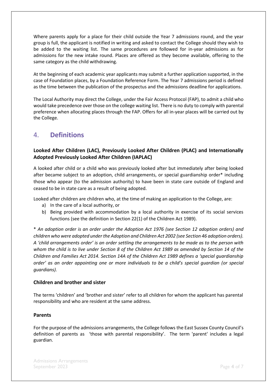Where parents apply for a place for their child outside the Year 7 admissions round, and the year group is full, the applicant is notified in writing and asked to contact the College should they wish to be added to the waiting list. The same procedures are followed for in-year admissions as for admissions for the new intake round. Places are offered as they become available, offering to the same category as the child withdrawing.

At the beginning of each academic year applicants may submit a further application supported, in the case of Foundation places, by a Foundation Reference Form. The Year 7 admissions period is defined as the time between the publication of the prospectus and the admissions deadline for applications.

The Local Authority may direct the College, under the Fair Access Protocol (FAP), to admit a child who would take precedence over those on the college waiting list. There is no duty to comply with parental preference when allocating places through the FAP. Offers for all in-year places will be carried out by the College.

# <span id="page-5-0"></span>4. **Definitions**

#### **Looked After Children (LAC), Previously Looked After Children (PLAC) and Internationally Adopted Previously Looked After Children (IAPLAC)**

A looked after child or a child who was previously looked after but immediately after being looked after became subject to an adoption, child arrangements, or special guardianship order\* including those who appear (to the admission authority) to have been in state care outside of England and ceased to be in state care as a result of being adopted.

Looked after children are children who, at the time of making an application to the College, are:

- a) In the care of a local authority, or
- b) Being provided with accommodation by a local authority in exercise of its social services functions (see the definition in Section 22(1) of the Children Act 1989).

\* *An adoption order is an order under the Adoption Act 1976 (see Section 12 adoption orders) and children who were adopted under the Adoption and Children Act 2002 (see Section 46 adoption orders). A 'child arrangements order' is an order settling the arrangements to be made as to the person with whom the child is to live under Section 8 of the Children Act 1989 as amended by Section 14 of the Children and Families Act 2014. Section 14A of the Children Act 1989 defines a 'special guardianship order' as an order appointing one or more individuals to be a child's special guardian (or special guardians).*

#### **Children and brother and sister**

The terms 'children' and 'brother and sister' refer to all children for whom the applicant has parental responsibility and who are resident at the same address.

#### **Parents**

For the purpose of the admissions arrangements, the College follows the East Sussex County Council's definition of parents as 'those with parental responsibility'. The term 'parent' includes a legal guardian.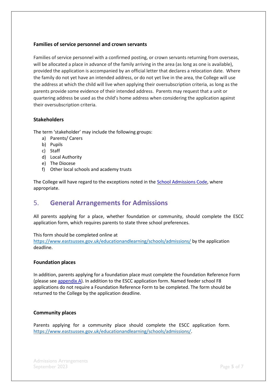#### **Families of service personnel and crown servants**

Families of service personnel with a confirmed posting, or crown servants returning from overseas, will be allocated a place in advance of the family arriving in the area (as long as one is available), provided the application is accompanied by an official letter that declares a relocation date. Where the family do not yet have an intended address, or do not yet live in the area, the College will use the address at which the child will live when applying their oversubscription criteria, as long as the parents provide some evidence of their intended address. Parents may request that a unit or quartering address be used as the child's home address when considering the application against their oversubscription criteria.

#### **Stakeholders**

The term 'stakeholder' may include the following groups:

- a) Parents/ Carers
- b) Pupils
- c) Staff
- d) Local Authority
- e) The Diocese
- f) Other local schools and academy trusts

The College will have regard to the exceptions noted in the School [Admissions](https://www.gov.uk/government/publications/school-admissions-code--2) Code, where appropriate.

## <span id="page-6-0"></span>5. **General Arrangements for Admissions**

All parents applying for a place, whether foundation or community, should complete the ESCC application form, which requires parents to state three school preferences.

This form should be completed online at

<https://www.eastsussex.gov.uk/educationandlearning/schools/admissions/> by the application [deadline.](https://www.eastsussex.gov.uk/educationandlearning/schools/admissions/) 

#### **Foundation places**

In addition, parents applying for a foundation place must complete the Foundation Reference Form (please see appendix  $A$ ). In addition to the ESCC application form. Named feeder school F8 applications do not require a Foundation Reference Form to be completed. The form should be returned to the College by the application deadline.

#### **Community places**

Parents applying for a community place should complete the ESCC application form. [https://www.eastsussex.gov.uk/educationandlearning/schools/admissions/.](https://www.eastsussex.gov.uk/educationandlearning/schools/admissions/)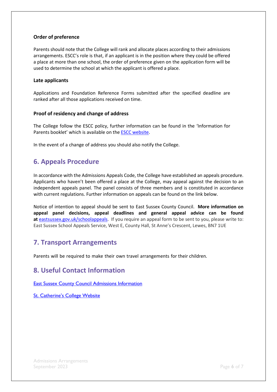#### **Order of preference**

Parents should note that the College will rank and allocate places according to their admissions arrangements. ESCC's role is that, if an applicant is in the position where they could be offered a place at more than one school, the order of preference given on the application form will be used to determine the school at which the applicant is offered a place.

#### **Late applicants**

Applications and Foundation Reference Forms submitted after the specified deadline are ranked after all those applications received on time.

#### **Proof of residency and change of address**

The College follow the ESCC policy, further information can be found in the 'Information for Parents booklet' which is available on the [ESCC website.](https://www.eastsussex.gov.uk/educationandlearning/schools/)

In the event of a change of address you should also notify the College.

# <span id="page-7-0"></span>**6. Appeals Procedure**

In accordance with the Admissions Appeals Code, the College have established an appeals procedure. Applicants who haven't been offered a place at the College, may appeal against the decision to an independent appeals panel. The panel consists of three members and is constituted in accordance with current regulations. Further information on appeals can be found on the link below.

Notice of intention to appeal should be sent to East Sussex County Council. **More information on appeal panel decisions, appeal deadlines and general appeal advice can be found at** [eastsussex.gov.uk/schoolappeals.](https://www.eastsussex.gov.uk/educationandlearning/schools/admissions/completed/detailed-guidance-school-admission-appeals/school-admission-appeals-guide/) If you require an appeal form to be sent to you, please write to: East Sussex School Appeals Service, West E, County Hall, St Anne's Crescent, Lewes, BN7 1UE

## <span id="page-7-1"></span>**7. Transport Arrangements**

Parents will be required to make their own travel arrangements for their children*.*

## <span id="page-7-2"></span>**8. Useful Contact Information**

[East Sussex County Council Admissions Information](https://www.eastsussex.gov.uk/educationandlearning/schools/admissions/apply/process/)

[St. Catherine's College Website](https://www.stcatherines.college/page/?title=Admissions&pid=32)